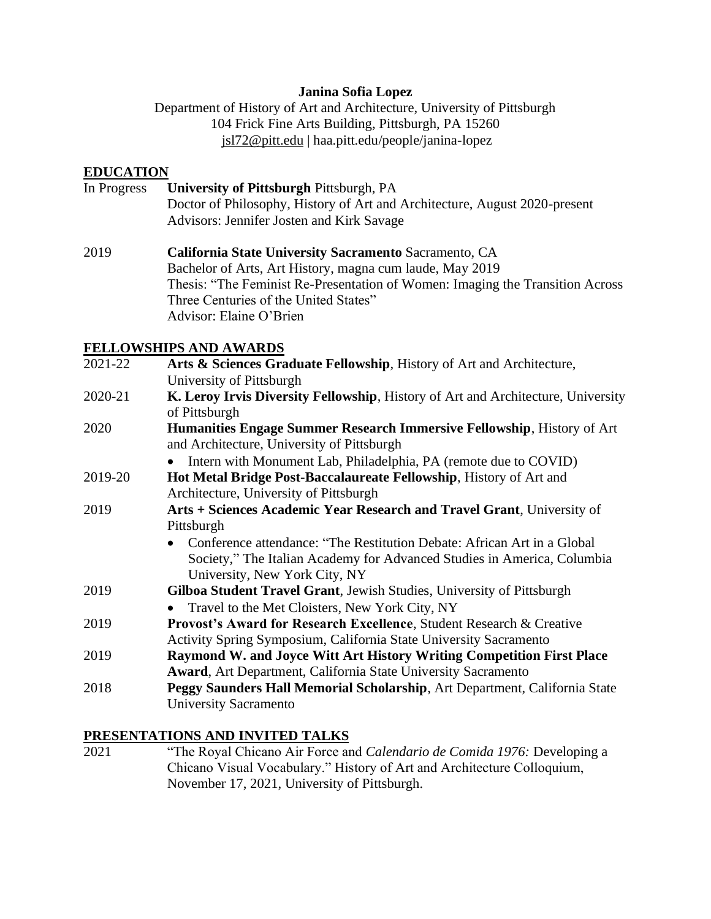#### **Janina Sofia Lopez**

Department of History of Art and Architecture, University of Pittsburgh 104 Frick Fine Arts Building, Pittsburgh, PA 15260 [jsl72@pitt.edu](mailto:jsl72@pitt.edu) | haa.pitt.edu/people/janina-lopez

#### **EDUCATION**

- In Progress **University of Pittsburgh** Pittsburgh, PA Doctor of Philosophy, History of Art and Architecture, August 2020-present Advisors: Jennifer Josten and Kirk Savage
- 2019 **California State University Sacramento** Sacramento, CA Bachelor of Arts, Art History, magna cum laude, May 2019 Thesis: "The Feminist Re-Presentation of Women: Imaging the Transition Across Three Centuries of the United States" Advisor: Elaine O'Brien

#### **FELLOWSHIPS AND AWARDS**

| 2021-22 | Arts & Sciences Graduate Fellowship, History of Art and Architecture,                |
|---------|--------------------------------------------------------------------------------------|
|         | University of Pittsburgh                                                             |
| 2020-21 | K. Leroy Irvis Diversity Fellowship, History of Art and Architecture, University     |
|         | of Pittsburgh                                                                        |
| 2020    | Humanities Engage Summer Research Immersive Fellowship, History of Art               |
|         | and Architecture, University of Pittsburgh                                           |
|         | Intern with Monument Lab, Philadelphia, PA (remote due to COVID)<br>$\bullet$        |
| 2019-20 | Hot Metal Bridge Post-Baccalaureate Fellowship, History of Art and                   |
|         | Architecture, University of Pittsburgh                                               |
| 2019    | Arts + Sciences Academic Year Research and Travel Grant, University of               |
|         | Pittsburgh                                                                           |
|         | Conference attendance: "The Restitution Debate: African Art in a Global<br>$\bullet$ |
|         | Society," The Italian Academy for Advanced Studies in America, Columbia              |
|         | University, New York City, NY                                                        |
| 2019    | Gilboa Student Travel Grant, Jewish Studies, University of Pittsburgh                |
|         | Travel to the Met Cloisters, New York City, NY                                       |
| 2019    | <b>Provost's Award for Research Excellence, Student Research &amp; Creative</b>      |
|         | Activity Spring Symposium, California State University Sacramento                    |
| 2019    | Raymond W. and Joyce Witt Art History Writing Competition First Place                |
|         | <b>Award, Art Department, California State University Sacramento</b>                 |
| 2018    | Peggy Saunders Hall Memorial Scholarship, Art Department, California State           |
|         | University Sacramento                                                                |
|         |                                                                                      |

#### **PRESENTATIONS AND INVITED TALKS**

2021 "The Royal Chicano Air Force and *Calendario de Comida 1976:* Developing a Chicano Visual Vocabulary." History of Art and Architecture Colloquium, November 17, 2021, University of Pittsburgh.